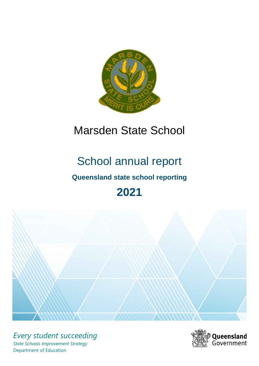

## Marsden State School

# School annual report

## **Queensland state school reporting**

## **2021**



*Every student succeeding State Schools Improvement Strategy* Department of Education

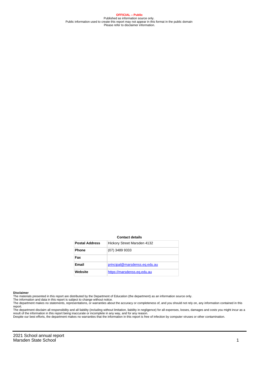**OFFICIAL – Public** Published as information source only. Public information used to create this report may not appear in this format in the public domain Please refer to disclaimer information.

#### **Contact details**

| <b>Postal Address</b> | Hickory Street Marsden 4132   |
|-----------------------|-------------------------------|
| <b>Phone</b>          | (07) 3489 9333                |
| Fax                   |                               |
| <b>Email</b>          | principal@marsdenss.eq.edu.au |
| Website               | https://marsdenss.eq.edu.au   |

#### **Disclaimer**

The materials presented in this report are distributed by the Department of Education (the department) as an information source only.

The information and data in this report is subject to change without notice.<br>The department makes no statements, representations, or warranties about the accuracy or completeness of, and you should not rely on, any informa report.

The department disclaim all responsibility and all liability (including without limitation, liability in negligence) for all expenses, losses, damages and costs you might incur as a result of the information in this report being inaccurate or incomplete in any way, and for any reason. Despite our best efforts, the department makes no warranties that the information in this report is free of infection by computer viruses or other contamination.

2021 School annual report Marsden State School 1 and 1 and 1 and 1 and 1 and 1 and 1 and 1 and 1 and 1 and 1 and 1 and 1 and 1 and 1 and 1 and 1 and 1 and 1 and 1 and 1 and 1 and 1 and 1 and 1 and 1 and 1 and 1 and 1 and 1 and 1 and 1 and 1 and 1 a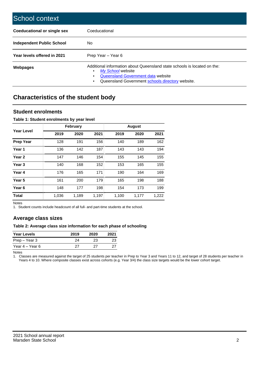| School context                   |                                                                                                                                                                                              |
|----------------------------------|----------------------------------------------------------------------------------------------------------------------------------------------------------------------------------------------|
| Coeducational or single sex      | Coeducational                                                                                                                                                                                |
| <b>Independent Public School</b> | No.                                                                                                                                                                                          |
| Year levels offered in 2021      | Prep Year - Year 6                                                                                                                                                                           |
| Webpages                         | Additional information about Queensland state schools is located on the:<br>My School website<br>Queensland Government data website<br>Queensland Government schools directory website.<br>٠ |

## **Characteristics of the student body**

#### **Student enrolments**

#### **Table 1: Student enrolments by year level**

|                   |       | <b>February</b> |       |       | <b>August</b> |       |
|-------------------|-------|-----------------|-------|-------|---------------|-------|
| Year Level        | 2019  | 2020            | 2021  | 2019  | 2020          | 2021  |
| <b>Prep Year</b>  | 128   | 191             | 156   | 140   | 189           | 162   |
| Year 1            | 136   | 142             | 187   | 143   | 143           | 194   |
| Year <sub>2</sub> | 147   | 146             | 154   | 155   | 145           | 155   |
| Year <sub>3</sub> | 140   | 168             | 152   | 153   | 165           | 155   |
| Year 4            | 176   | 165             | 171   | 190   | 164           | 169   |
| Year 5            | 161   | 200             | 179   | 165   | 198           | 188   |
| Year <sub>6</sub> | 148   | 177             | 198   | 154   | 173           | 199   |
| <b>Total</b>      | 1,036 | 1,189           | 1,197 | 1,100 | 1,177         | 1,222 |

Notes

1. Student counts include headcount of all full- and part-time students at the school.

#### **Average class sizes**

#### **Table 2: Average class size information for each phase of schooling**

| <b>Year Levels</b> | 2019 | 2020 | 2021 |
|--------------------|------|------|------|
| Prep – Year 3      | 24   | 23   | 23   |
| Year 4 – Year 6    | 27   | דכי  | 27   |

Notes

1. Classes are measured against the target of 25 students per teacher in Prep to Year 3 and Years 11 to 12, and target of 28 students per teacher in Years 4 to 10. Where composite classes exist across cohorts (e.g. Year 3/4) the class size targets would be the lower cohort target.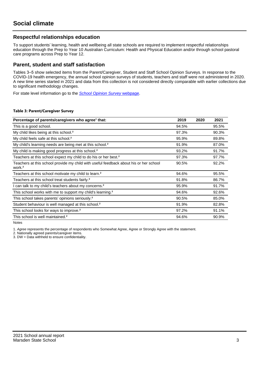#### **Respectful relationships education**

To support students' learning, health and wellbeing all state schools are required to implement respectful relationships education through the Prep to Year 10 Australian Curriculum: Health and Physical Education and/or through school pastoral care programs across Prep to Year 12.

#### **Parent, student and staff satisfaction**

Tables 3–5 show selected items from the Parent/Caregiver, Student and Staff School Opinion Surveys. In response to the COVID-19 health emergency, the annual school opinion surveys of students, teachers and staff were not administered in 2020. A new time series started in 2021 and data from this collection is not considered directly comparable with earlier collections due to significant methodology changes.

For state level information go to the **[School Opinion Survey](https://qed.qld.gov.au/publications/reports/statistics/schooling/schools/schoolopinionsurvey) webpage**.

#### **Table 3: Parent/Caregiver Survey**

| Percentage of parents/caregivers who agree <sup>1</sup> that:                                               | 2019  | 2020 | 2021  |
|-------------------------------------------------------------------------------------------------------------|-------|------|-------|
| This is a good school.                                                                                      | 94.5% |      | 95.5% |
| My child likes being at this school. <sup>2</sup>                                                           | 97.3% |      | 90.3% |
| My child feels safe at this school. <sup>2</sup>                                                            | 95.9% |      | 89.8% |
| My child's learning needs are being met at this school. <sup>2</sup>                                        | 91.9% |      | 87.0% |
| My child is making good progress at this school. <sup>2</sup>                                               | 93.2% |      | 91.7% |
| Teachers at this school expect my child to do his or her best. <sup>2</sup>                                 | 97.3% |      | 97.7% |
| Teachers at this school provide my child with useful feedback about his or her school<br>work. <sup>2</sup> | 90.5% |      | 92.2% |
| Teachers at this school motivate my child to learn. <sup>2</sup>                                            | 94.6% |      | 95.5% |
| Teachers at this school treat students fairly. <sup>2</sup>                                                 | 91.8% |      | 86.7% |
| can talk to my child's teachers about my concerns. <sup>2</sup>                                             | 95.9% |      | 91.7% |
| This school works with me to support my child's learning. <sup>2</sup>                                      | 94.6% |      | 92.6% |
| This school takes parents' opinions seriously. <sup>2</sup>                                                 | 90.5% |      | 85.0% |
| Student behaviour is well managed at this school. <sup>2</sup>                                              | 91.9% |      | 82.8% |
| This school looks for ways to improve. <sup>2</sup>                                                         | 97.2% |      | 91.1% |
| This school is well maintained. <sup>2</sup>                                                                | 94.6% |      | 90.9% |

Notes

1. Agree represents the percentage of respondents who Somewhat Agree, Agree or Strongly Agree with the statement.

2. Nationally agreed parents/caregiver items.

3. DW = Data withheld to ensure confidentiality.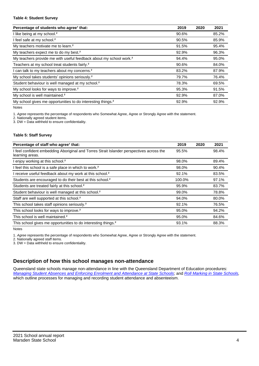#### **Table 4: Student Survey**

| Percentage of students who agree <sup>1</sup> that:                            | 2019  | 2020 | 2021  |
|--------------------------------------------------------------------------------|-------|------|-------|
| I like being at my school. <sup>2</sup>                                        | 90.6% |      | 85.2% |
| I feel safe at my school. <sup>2</sup>                                         | 90.5% |      | 85.9% |
| My teachers motivate me to learn. <sup>2</sup>                                 | 91.5% |      | 95.4% |
| My teachers expect me to do my best. <sup>2</sup>                              | 92.9% |      | 96.3% |
| My teachers provide me with useful feedback about my school work. <sup>2</sup> | 94.4% |      | 95.0% |
| Teachers at my school treat students fairly. <sup>2</sup>                      | 90.6% |      | 84.0% |
| I can talk to my teachers about my concerns. <sup>2</sup>                      | 83.2% |      | 87.9% |
| My school takes students' opinions seriously. <sup>2</sup>                     | 79.7% |      | 76.4% |
| Student behaviour is well managed at my school. <sup>2</sup>                   | 78.3% |      | 69.5% |
| My school looks for ways to improve. <sup>2</sup>                              | 95.3% |      | 91.5% |
| My school is well maintained. <sup>2</sup>                                     | 92.9% |      | 87.0% |
| My school gives me opportunities to do interesting things. <sup>2</sup>        | 92.9% |      | 92.9% |

Notes

1. Agree represents the percentage of respondents who Somewhat Agree, Agree or Strongly Agree with the statement.

2. Nationally agreed student items.

3. DW = Data withheld to ensure confidentiality.

#### **Table 5: Staff Survey**

| Percentage of staff who agree <sup>1</sup> that:                                                            | 2019   | 2020 | 2021  |
|-------------------------------------------------------------------------------------------------------------|--------|------|-------|
| I feel confident embedding Aboriginal and Torres Strait Islander perspectives across the<br>learning areas. | 95.5%  |      | 98.4% |
| I enjoy working at this school. <sup>2</sup>                                                                | 98.0%  |      | 89.4% |
| I feel this school is a safe place in which to work. <sup>2</sup>                                           | 98.0%  |      | 90.4% |
| I receive useful feedback about my work at this school. <sup>2</sup>                                        | 92.1%  |      | 83.5% |
| Students are encouraged to do their best at this school. <sup>2</sup>                                       | 100.0% |      | 97.1% |
| Students are treated fairly at this school. <sup>2</sup>                                                    | 95.9%  |      | 83.7% |
| Student behaviour is well managed at this school. <sup>2</sup>                                              | 99.0%  |      | 78.8% |
| Staff are well supported at this school. <sup>2</sup>                                                       | 94.0%  |      | 80.0% |
| This school takes staff opinions seriously. <sup>2</sup>                                                    | 92.1%  |      | 76.5% |
| This school looks for ways to improve. <sup>2</sup>                                                         | 95.0%  |      | 94.2% |
| This school is well maintained. <sup>2</sup>                                                                | 95.0%  |      | 84.6% |
| This school gives me opportunities to do interesting things. <sup>2</sup>                                   | 93.1%  |      | 88.3% |

Notes

1. Agree represents the percentage of respondents who Somewhat Agree, Agree or Strongly Agree with the statement.

2. Nationally agreed staff items.

3. DW = Data withheld to ensure confidentiality.

#### **Description of how this school manages non-attendance**

Queensland state schools manage non-attendance in line with the Queensland Department of Education procedures: [Managing Student Absences and Enforcing Enrolment and Attendance at State Schools](https://ppr.qed.qld.gov.au/pp/managing-student-absences-and-enforcing-enrolment-and-attendance-at-state-schools-procedure); and [Roll Marking in State Schools,](https://ppr.qed.qld.gov.au/pp/roll-marking-in-state-schools-procedure) which outline processes for managing and recording student attendance and absenteeism.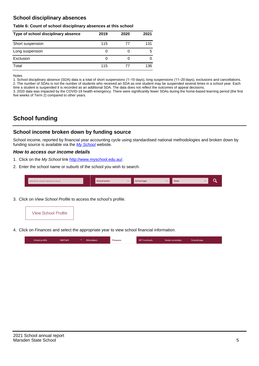#### **School disciplinary absences**

#### **Table 6: Count of school disciplinary absences at this school**

| Type of school disciplinary absence | 2019 | 2020 | 2021 |
|-------------------------------------|------|------|------|
| Short suspension                    | 115  | 77   | 131  |
| Long suspension                     | 0    |      | 5    |
| Exclusion                           | 0    |      |      |
| Total                               | 115  | 77   | 136  |

Notes

1. School disciplinary absence (SDA) data is a total of short suspensions (1–10 days), long suspensions (11–20 days), exclusions and cancellations. 2. The number of SDAs is not the number of students who received an SDA as one student may be suspended several times in a school year. Each time a student is suspended it is recorded as an additional SDA. The data does not reflect the outcomes of appeal decisions.

3. 2020 data was impacted by the COVID-19 health emergency. There were significantly fewer SDAs during the home-based learning period (the first five weeks of Term 2) compared to other years.

## **School funding**

#### **School income broken down by funding source**

School income, reported by financial year accounting cycle using standardised national methodologies and broken down by funding source is available via the  $My$  School website.

#### **How to access our income details**

- 1. Click on the My School link <http://www.myschool.edu.au/>.
- 2. Enter the school name or suburb of the school you wish to search.

|  | Search by school name or suburb |  | <b>School sector</b> |  | $\sim$ and $\sim$ represents the set of $\sim$ | <b>State</b> |  |  |  |
|--|---------------------------------|--|----------------------|--|------------------------------------------------|--------------|--|--|--|
|--|---------------------------------|--|----------------------|--|------------------------------------------------|--------------|--|--|--|

3. Click on View School Profile to access the school's profile.



4. Click on Finances and select the appropriate year to view school financial information.

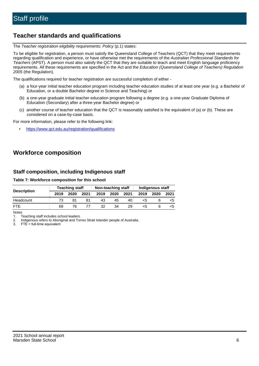### **Teacher standards and qualifications**

The Teacher registration eligibility requirements: Policy (p.1) states:

To be eligible for registration, a person must satisfy the Queensland College of Teachers (QCT) that they meet requirements regarding qualification and experience, or have otherwise met the requirements of the Australian Professional Standards for Teachers (APST). A person must also satisfy the QCT that they are suitable to teach and meet English language proficiency requirements. All these requirements are specified in the Act and the Education (Queensland College of Teachers) Regulation 2005 (the Regulation).

The qualifications required for teacher registration are successful completion of either -

- (a) a four-year initial teacher education program including teacher education studies of at least one year (e.g. a Bachelor of Education, or a double Bachelor degree in Science and Teaching) or
- (b) a one-year graduate initial teacher education program following a degree (e.g. a one-year Graduate Diploma of Education (Secondary) after a three-year Bachelor degree) or
- (c) another course of teacher education that the QCT is reasonably satisfied is the equivalent of (a) or (b). These are considered on a case-by-case basis.

For more information, please refer to the following link:

• <https://www.qct.edu.au/registration/qualifications>

## **Workforce composition**

#### **Staff composition, including Indigenous staff**

#### **Table 7: Workforce composition for this school**

|                    |      | Non-teaching staff<br><b>Teaching staff</b> |      |      |      | Indigenous staff |      |      |      |
|--------------------|------|---------------------------------------------|------|------|------|------------------|------|------|------|
| <b>Description</b> | 2019 | 2020                                        | 2021 | 2019 | 2020 | 2021             | 2019 | 2020 | 2021 |
| Headcount          | 73   | 81                                          |      | 43   | 45   | 40               | <5   |      |      |
| <b>FTF</b>         | 69   | 76                                          |      | 32   | 34   | 29               | <5   |      |      |

Notes

1. Teaching staff includes school leaders.

2. Indigenous refers to Aboriginal and Torres Strait Islander people of Australia.

3. FTE = full-time equivalent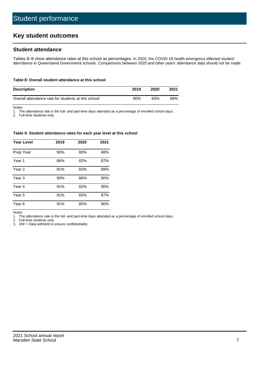## **Key student outcomes**

#### **Student attendance**

Tables 8–9 show attendance rates at this school as percentages. In 2020, the COVID-19 health emergency affected student attendance in Queensland Government schools. Comparisons between 2020 and other years' attendance data should not be made.

#### **Table 8: Overall student attendance at this school**

| <b>Description</b>                                  | 2019 | 2020 | 2021 |
|-----------------------------------------------------|------|------|------|
| Overall attendance rate for students at this school | 90%  | 83%  | 89%  |

Notes

1. The attendance rate is the full- and part-time days attended as a percentage of enrolled school days.

2. Full-time students only.

#### **Table 9: Student attendance rates for each year level at this school**

| <b>Year Level</b> | 2019 | 2020 | 2021 |
|-------------------|------|------|------|
| Prep Year         | 90%  | 80%  | 88%  |
| Year <sub>1</sub> | 86%  | 82%  | 87%  |
| Year 2            | 91%  | 83%  | 89%  |
| Year <sub>3</sub> | 90%  | 86%  | 90%  |
| Year 4            | 91%  | 82%  | 90%  |
| Year 5            | 91%  | 83%  | 87%  |
| Year <sub>6</sub> | 91%  | 85%  | 90%  |

Notes

1. The attendance rate is the full- and part-time days attended as a percentage of enrolled school days.

2. Full-time students only.

3. DW = Data withheld to ensure confidentiality